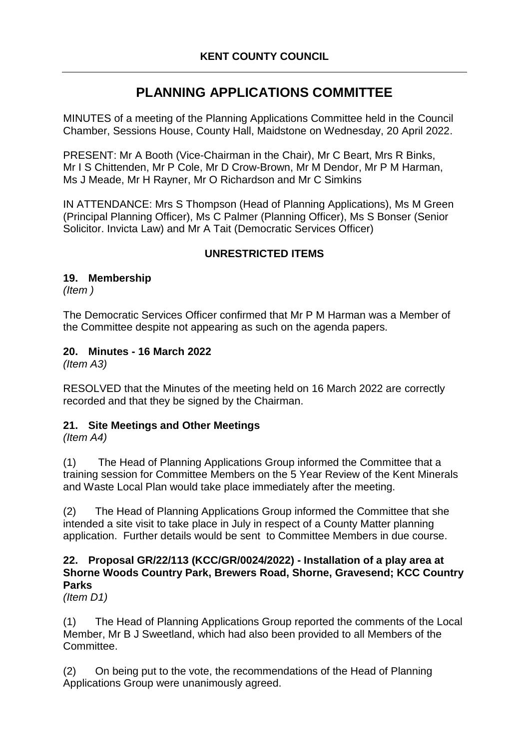# **PLANNING APPLICATIONS COMMITTEE**

MINUTES of a meeting of the Planning Applications Committee held in the Council Chamber, Sessions House, County Hall, Maidstone on Wednesday, 20 April 2022.

PRESENT: Mr A Booth (Vice-Chairman in the Chair), Mr C Beart, Mrs R Binks, Mr I S Chittenden, Mr P Cole, Mr D Crow-Brown, Mr M Dendor, Mr P M Harman, Ms J Meade, Mr H Rayner, Mr O Richardson and Mr C Simkins

IN ATTENDANCE: Mrs S Thompson (Head of Planning Applications), Ms M Green (Principal Planning Officer), Ms C Palmer (Planning Officer), Ms S Bonser (Senior Solicitor. Invicta Law) and Mr A Tait (Democratic Services Officer)

## **UNRESTRICTED ITEMS**

## **19. Membership**

*(Item )*

The Democratic Services Officer confirmed that Mr P M Harman was a Member of the Committee despite not appearing as such on the agenda papers.

## **20. Minutes - 16 March 2022**

*(Item A3)*

RESOLVED that the Minutes of the meeting held on 16 March 2022 are correctly recorded and that they be signed by the Chairman.

## **21. Site Meetings and Other Meetings**

*(Item A4)*

(1) The Head of Planning Applications Group informed the Committee that a training session for Committee Members on the 5 Year Review of the Kent Minerals and Waste Local Plan would take place immediately after the meeting.

(2) The Head of Planning Applications Group informed the Committee that she intended a site visit to take place in July in respect of a County Matter planning application. Further details would be sent to Committee Members in due course.

## **22. Proposal GR/22/113 (KCC/GR/0024/2022) - Installation of a play area at Shorne Woods Country Park, Brewers Road, Shorne, Gravesend; KCC Country Parks**

*(Item D1)*

(1) The Head of Planning Applications Group reported the comments of the Local Member, Mr B J Sweetland, which had also been provided to all Members of the Committee.

(2) On being put to the vote, the recommendations of the Head of Planning Applications Group were unanimously agreed.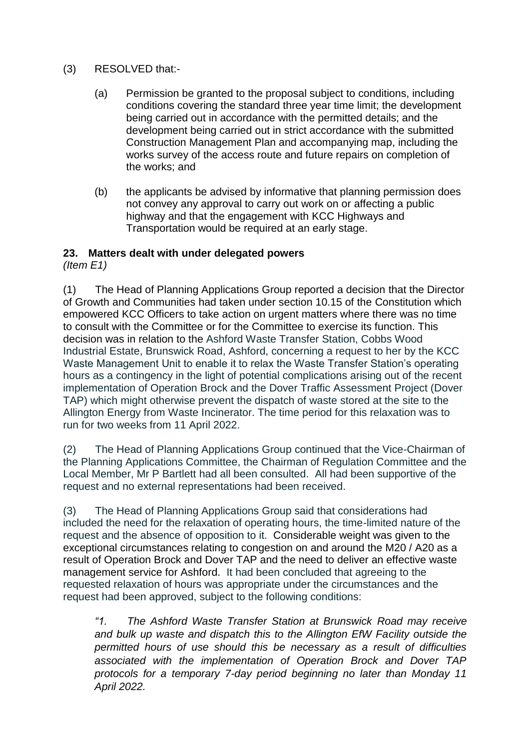#### (3) RESOLVED that:-

- (a) Permission be granted to the proposal subject to conditions, including conditions covering the standard three year time limit; the development being carried out in accordance with the permitted details; and the development being carried out in strict accordance with the submitted Construction Management Plan and accompanying map, including the works survey of the access route and future repairs on completion of the works; and
- (b) the applicants be advised by informative that planning permission does not convey any approval to carry out work on or affecting a public highway and that the engagement with KCC Highways and Transportation would be required at an early stage.

## **23. Matters dealt with under delegated powers**

*(Item E1)*

(1) The Head of Planning Applications Group reported a decision that the Director of Growth and Communities had taken under section 10.15 of the Constitution which empowered KCC Officers to take action on urgent matters where there was no time to consult with the Committee or for the Committee to exercise its function. This decision was in relation to the Ashford Waste Transfer Station, Cobbs Wood Industrial Estate, Brunswick Road, Ashford, concerning a request to her by the KCC Waste Management Unit to enable it to relax the Waste Transfer Station's operating hours as a contingency in the light of potential complications arising out of the recent implementation of Operation Brock and the Dover Traffic Assessment Project (Dover TAP) which might otherwise prevent the dispatch of waste stored at the site to the Allington Energy from Waste Incinerator. The time period for this relaxation was to run for two weeks from 11 April 2022.

(2) The Head of Planning Applications Group continued that the Vice-Chairman of the Planning Applications Committee, the Chairman of Regulation Committee and the Local Member, Mr P Bartlett had all been consulted. All had been supportive of the request and no external representations had been received.

(3) The Head of Planning Applications Group said that considerations had included the need for the relaxation of operating hours, the time-limited nature of the request and the absence of opposition to it. Considerable weight was given to the exceptional circumstances relating to congestion on and around the M20 / A20 as a result of Operation Brock and Dover TAP and the need to deliver an effective waste management service for Ashford. It had been concluded that agreeing to the requested relaxation of hours was appropriate under the circumstances and the request had been approved, subject to the following conditions:

*"1. The Ashford Waste Transfer Station at Brunswick Road may receive and bulk up waste and dispatch this to the Allington EfW Facility outside the permitted hours of use should this be necessary as a result of difficulties associated with the implementation of Operation Brock and Dover TAP protocols for a temporary 7-day period beginning no later than Monday 11 April 2022.*